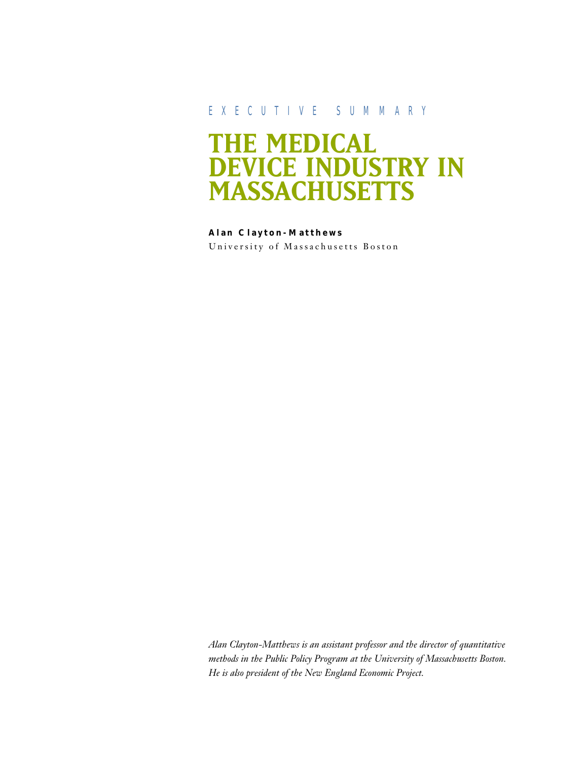## EXECUTIVE SUMMARY

# **THE MEDICAL DEVICE INDUSTRY IN MASSACHUSETTS**

**Alan Clayton-Matthews** University of Massachusetts Boston

*Alan Clayton-Matthews is an assistant professor and the director of quantitative methods in the Public Policy Program at the University of Massachusetts Boston. He is also president of the New England Economic Project.*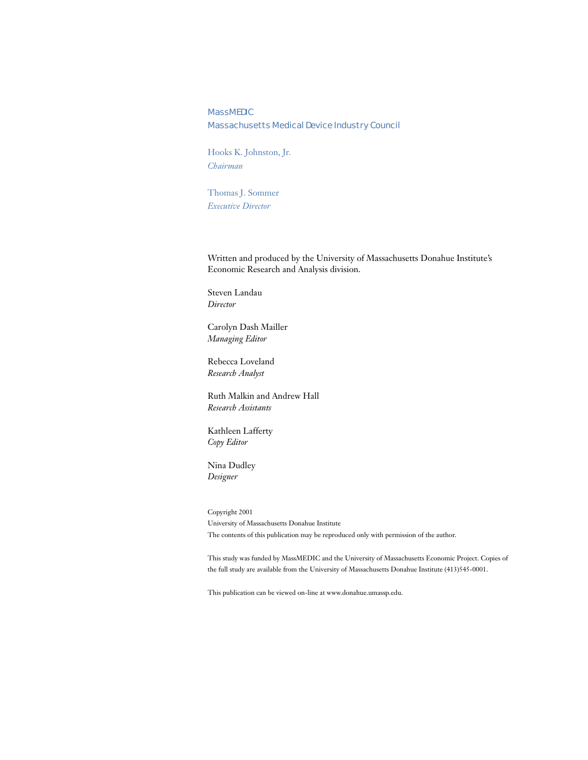#### **MassMEDIC**

#### Massachusetts Medical Device Industry Council

Hooks K. Johnston, Jr. *Chairman*

Thomas J. Sommer *Executive Director*

Written and produced by the University of Massachusetts Donahue Institute's Economic Research and Analysis division.

Steven Landau *Director*

Carolyn Dash Mailler *Managing Editor*

Rebecca Loveland *Research Analyst*

Ruth Malkin and Andrew Hall *Research Assistants*

Kathleen Lafferty *Copy Editor*

Nina Dudley *Designer*

Copyright 2001 University of Massachusetts Donahue Institute The contents of this publication may be reproduced only with permission of the author.

This study was funded by MassMEDIC and the University of Massachusetts Economic Project. Copies of the full study are available from the University of Massachusetts Donahue Institute (413)545-0001.

This publication can be viewed on-line at www.donahue.umassp.edu.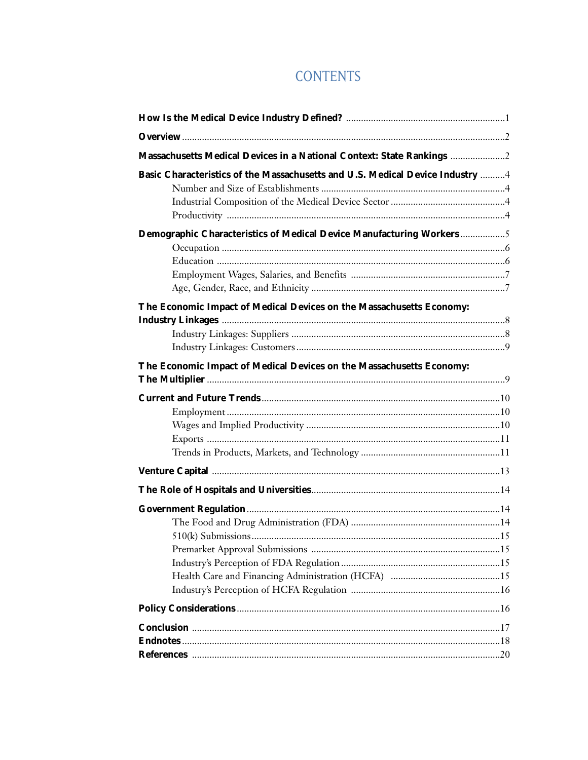## **CONTENTS**

| Massachusetts Medical Devices in a National Context: State Rankings 2         |  |
|-------------------------------------------------------------------------------|--|
| Basic Characteristics of the Massachusetts and U.S. Medical Device Industry 4 |  |
|                                                                               |  |
|                                                                               |  |
|                                                                               |  |
| Demographic Characteristics of Medical Device Manufacturing Workers5          |  |
|                                                                               |  |
|                                                                               |  |
|                                                                               |  |
|                                                                               |  |
| The Economic Impact of Medical Devices on the Massachusetts Economy:          |  |
|                                                                               |  |
|                                                                               |  |
|                                                                               |  |
| The Economic Impact of Medical Devices on the Massachusetts Economy:          |  |
|                                                                               |  |
|                                                                               |  |
|                                                                               |  |
|                                                                               |  |
|                                                                               |  |
|                                                                               |  |
|                                                                               |  |
|                                                                               |  |
|                                                                               |  |
|                                                                               |  |
|                                                                               |  |
|                                                                               |  |
|                                                                               |  |
|                                                                               |  |
|                                                                               |  |
|                                                                               |  |
|                                                                               |  |
|                                                                               |  |
|                                                                               |  |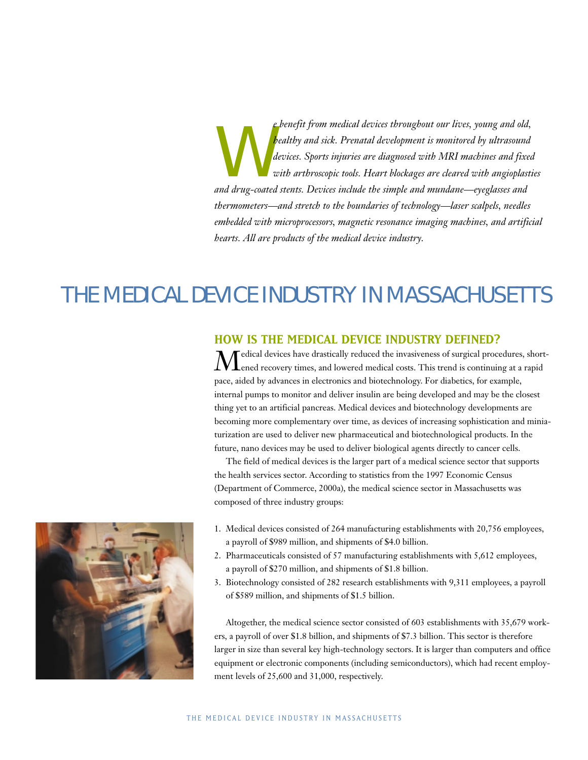e benefit from medical devices throughout our lives, young and old,<br>bealthy and sick. Prenatal development is monitored by ultrasound<br>devices. Sports injuries are diagnosed with MRI machines and fixed<br>with arthroscopic too *healthy and sick. Prenatal development is monitored by ultrasound devices. Sports injuries are diagnosed with MRI machines and fixed with arthroscopic tools. Heart blockages are cleared with angioplasties and drug-coated stents. Devices include the simple and mundane—eyeglasses and thermometers—and stretch to the boundaries of technology—laser scalpels, needles embedded with microprocessors, magnetic resonance imaging machines, and artificial hearts. All are products of the medical device industry.*

## THE MEDICAL DEVICE INDUSTRY IN MASSACHUSETTS

## **HOW IS THE MEDICAL DEVICE INDUSTRY DEFINED?**

 $\displaystyle{\mathcal{M}}$ edical devices have drastically reduced the invasiveness of surgical procedures, short-<br>ened recovery times, and lowered medical costs. This trend is continuing at a rapid pace, aided by advances in electronics and biotechnology. For diabetics, for example, internal pumps to monitor and deliver insulin are being developed and may be the closest thing yet to an artificial pancreas. Medical devices and biotechnology developments are becoming more complementary over time, as devices of increasing sophistication and miniaturization are used to deliver new pharmaceutical and biotechnological products. In the future, nano devices may be used to deliver biological agents directly to cancer cells.

The field of medical devices is the larger part of a medical science sector that supports the health services sector. According to statistics from the 1997 Economic Census (Department of Commerce, 2000a), the medical science sector in Massachusetts was composed of three industry groups:



- 1. Medical devices consisted of 264 manufacturing establishments with 20,756 employees, a payroll of \$989 million, and shipments of \$4.0 billion.
- 2. Pharmaceuticals consisted of 57 manufacturing establishments with 5,612 employees, a payroll of \$270 million, and shipments of \$1.8 billion.
- 3. Biotechnology consisted of 282 research establishments with 9,311 employees, a payroll of \$589 million, and shipments of \$1.5 billion.

Altogether, the medical science sector consisted of 603 establishments with 35,679 workers, a payroll of over \$1.8 billion, and shipments of \$7.3 billion. This sector is therefore larger in size than several key high-technology sectors. It is larger than computers and office equipment or electronic components (including semiconductors), which had recent employment levels of 25,600 and 31,000, respectively.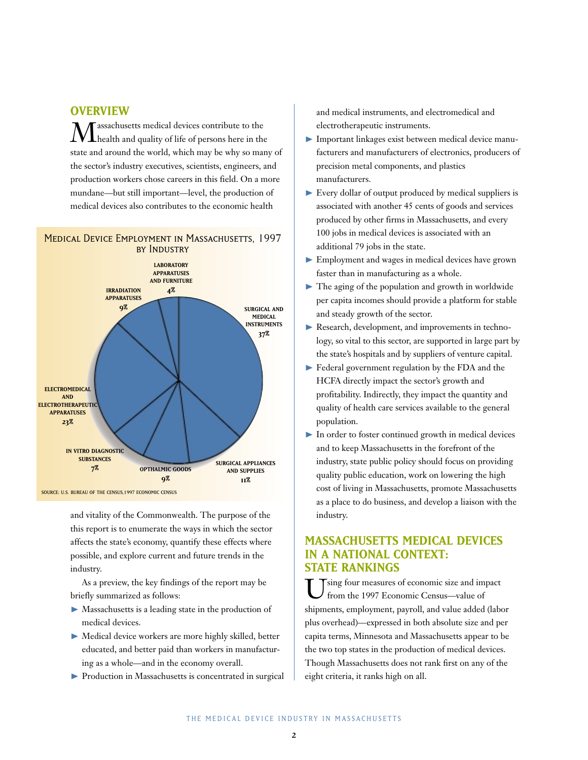## **OVERVIEW**

 $\displaystyle{\mathop{\hbox{\rm M}}\nolimits}$  health and quality of life of persons here in the state and around the world, which may be why so many of the sector's industry executives, scientists, engineers, and production workers chose careers in this field. On a more mundane—but still important—level, the production of medical devices also contributes to the economic health

### Medical Device Employment in Massachusetts, 1997 by Industry



and vitality of the Commonwealth. The purpose of the this report is to enumerate the ways in which the sector affects the state's economy, quantify these effects where possible, and explore current and future trends in the industry.

As a preview, the key findings of the report may be briefly summarized as follows:

- ❿ Massachusetts is a leading state in the production of medical devices.
- ❿ Medical device workers are more highly skilled, better educated, and better paid than workers in manufacturing as a whole—and in the economy overall.
- ❿ Production in Massachusetts is concentrated in surgical

and medical instruments, and electromedical and electrotherapeutic instruments.

- ❿ Important linkages exist between medical device manufacturers and manufacturers of electronics, producers of precision metal components, and plastics manufacturers.
- ❿ Every dollar of output produced by medical suppliers is associated with another 45 cents of goods and services produced by other firms in Massachusetts, and every 100 jobs in medical devices is associated with an additional 79 jobs in the state.
- Employment and wages in medical devices have grown faster than in manufacturing as a whole.
- $\blacktriangleright$  The aging of the population and growth in worldwide per capita incomes should provide a platform for stable and steady growth of the sector.
- ▶ Research, development, and improvements in technology, so vital to this sector, are supported in large part by the state's hospitals and by suppliers of venture capital.
- ▶ Federal government regulation by the FDA and the HCFA directly impact the sector's growth and profitability. Indirectly, they impact the quantity and quality of health care services available to the general population.
- $\blacktriangleright$  In order to foster continued growth in medical devices and to keep Massachusetts in the forefront of the industry, state public policy should focus on providing quality public education, work on lowering the high cost of living in Massachusetts, promote Massachusetts as a place to do business, and develop a liaison with the industry.

## **MASSACHUSETTS MEDICAL DEVICES IN A NATIONAL CONTEXT: STATE RANKINGS**

Using four measures of economic size and impact from the 1997 Economic Census—value of shipments, employment, payroll, and value added (labor plus overhead)—expressed in both absolute size and per capita terms, Minnesota and Massachusetts appear to be the two top states in the production of medical devices. Though Massachusetts does not rank first on any of the eight criteria, it ranks high on all.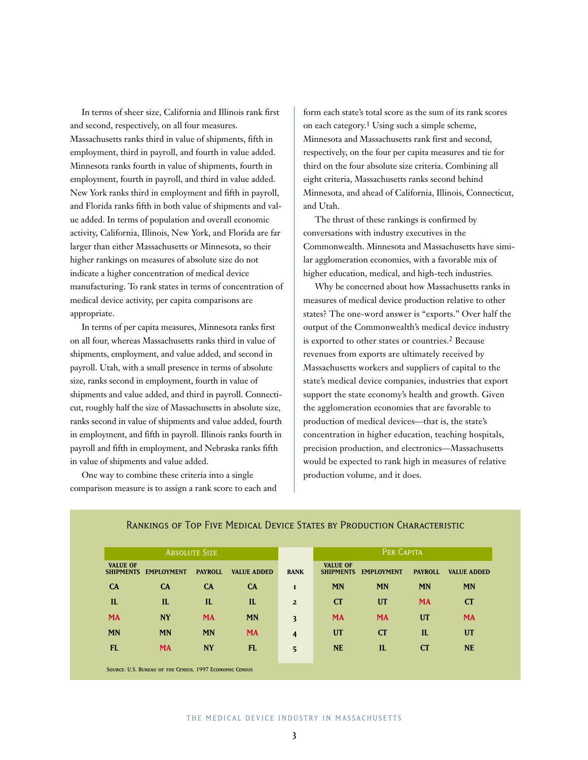In terms of sheer size, California and Illinois rank first and second, respectively, on all four measures. Massachusetts ranks third in value of shipments, fifth in employment, third in payroll, and fourth in value added. Minnesota ranks fourth in value of shipments, fourth in employment, fourth in payroll, and third in value added. New York ranks third in employment and fifth in payroll, and Florida ranks fifth in both value of shipments and value added. In terms of population and overall economic activity, California, Illinois, New York, and Florida are far larger than either Massachusetts or Minnesota, so their higher rankings on measures of absolute size do not indicate a higher concentration of medical device manufacturing. To rank states in terms of concentration of medical device activity, per capita comparisons are appropriate.

In terms of per capita measures, Minnesota ranks first on all four, whereas Massachusetts ranks third in value of shipments, employment, and value added, and second in payroll. Utah, with a small presence in terms of absolute size, ranks second in employment, fourth in value of shipments and value added, and third in payroll. Connecticut, roughly half the size of Massachusetts in absolute size, ranks second in value of shipments and value added, fourth in employment, and fifth in payroll. Illinois ranks fourth in payroll and fifth in employment, and Nebraska ranks fifth in value of shipments and value added.

One way to combine these criteria into a single comparison measure is to assign a rank score to each and form each state's total score as the sum of its rank scores on each category.1 Using such a simple scheme, Minnesota and Massachusetts rank first and second, respectively, on the four per capita measures and tie for third on the four absolute size criteria. Combining all eight criteria, Massachusetts ranks second behind Minnesota, and ahead of California, Illinois, Connecticut, and Utah.

The thrust of these rankings is confirmed by conversations with industry executives in the Commonwealth. Minnesota and Massachusetts have similar agglomeration economies, with a favorable mix of higher education, medical, and high-tech industries.

Why be concerned about how Massachusetts ranks in measures of medical device production relative to other states? The one-word answer is "exports." Over half the output of the Commonwealth's medical device industry is exported to other states or countries.2 Because revenues from exports are ultimately received by Massachusetts workers and suppliers of capital to the state's medical device companies, industries that export support the state economy's health and growth. Given the agglomeration economies that are favorable to production of medical devices—that is, the state's concentration in higher education, teaching hospitals, precision production, and electronics—Massachusetts would be expected to rank high in measures of relative production volume, and it does.

| <b>ABSOLUTE SIZE</b>                |                   |                |                    |                         | PER CAPITA                          |                   |                |                    |
|-------------------------------------|-------------------|----------------|--------------------|-------------------------|-------------------------------------|-------------------|----------------|--------------------|
| <b>VALUE OF</b><br><b>SHIPMENTS</b> | <b>EMPLOYMENT</b> | <b>PAYROLL</b> | <b>VALUE ADDED</b> | <b>RANK</b>             | <b>VALUE OF</b><br><b>SHIPMENTS</b> | <b>EMPLOYMENT</b> | <b>PAYROLL</b> | <b>VALUE ADDED</b> |
| <b>CA</b>                           | CA                | CA             | CA                 | $\mathbf{I}$            | <b>MN</b>                           | <b>MN</b>         | <b>MN</b>      | <b>MN</b>          |
| $\mathbf{I}$                        | IL                | IL             | IL                 | $\overline{2}$          | CT                                  | <b>UT</b>         | <b>MA</b>      | <b>CT</b>          |
| <b>MA</b>                           | <b>NY</b>         | <b>MA</b>      | <b>MN</b>          | $\overline{\mathbf{3}}$ | <b>MA</b>                           | <b>MA</b>         | <b>UT</b>      | <b>MA</b>          |
| <b>MN</b>                           | <b>MN</b>         | <b>MN</b>      | <b>MA</b>          | $\overline{\mathbf{4}}$ | <b>UT</b>                           | CT                | $\mathbf{L}$   | UT                 |
| <b>FL</b>                           | <b>MA</b>         | <b>NY</b>      | <b>FL</b>          | $5\overline{5}$         | <b>NE</b>                           | IL                | CT             | <b>NE</b>          |

#### Rankings of Top Five Medical Device States by Production Characteristic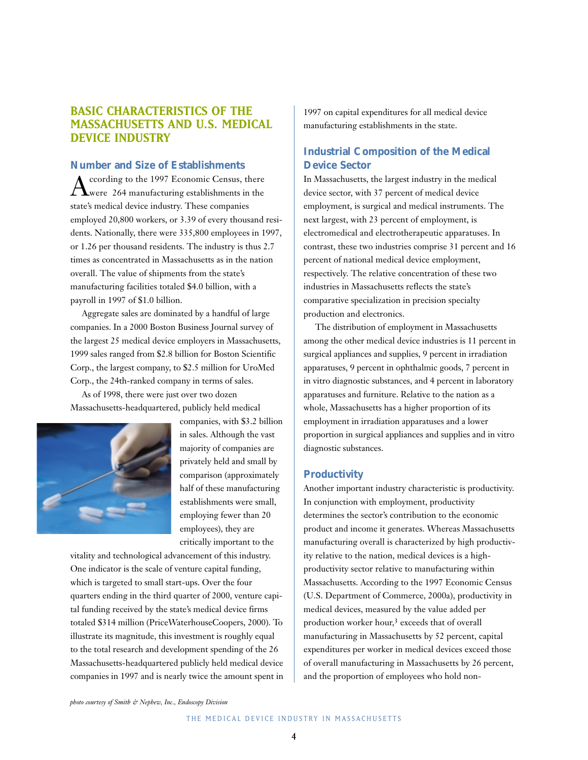## **BASIC CHARACTERISTICS OF THE MASSACHUSETTS AND U.S. MEDICAL DEVICE INDUSTRY**

### **Number and Size of Establishments**

 $A_\mathrm{were\ 264\ manufacturing\ establishment\,in\ the\ 1987}$ state's medical device industry. These companies employed 20,800 workers, or 3.39 of every thousand residents. Nationally, there were 335,800 employees in 1997, or 1.26 per thousand residents. The industry is thus 2.7 times as concentrated in Massachusetts as in the nation overall. The value of shipments from the state's manufacturing facilities totaled \$4.0 billion, with a payroll in 1997 of \$1.0 billion.

Aggregate sales are dominated by a handful of large companies. In a 2000 Boston Business Journal survey of the largest 25 medical device employers in Massachusetts, 1999 sales ranged from \$2.8 billion for Boston Scientific Corp., the largest company, to \$2.5 million for UroMed Corp., the 24th-ranked company in terms of sales.

As of 1998, there were just over two dozen Massachusetts-headquartered, publicly held medical



companies, with \$3.2 billion in sales. Although the vast majority of companies are privately held and small by comparison (approximately half of these manufacturing establishments were small, employing fewer than 20 employees), they are critically important to the

vitality and technological advancement of this industry. One indicator is the scale of venture capital funding, which is targeted to small start-ups. Over the four quarters ending in the third quarter of 2000, venture capital funding received by the state's medical device firms totaled \$314 million (PriceWaterhouseCoopers, 2000). To illustrate its magnitude, this investment is roughly equal to the total research and development spending of the 26 Massachusetts-headquartered publicly held medical device companies in 1997 and is nearly twice the amount spent in 1997 on capital expenditures for all medical device manufacturing establishments in the state.

## **Industrial Composition of the Medical Device Sector**

In Massachusetts, the largest industry in the medical device sector, with 37 percent of medical device employment, is surgical and medical instruments. The next largest, with 23 percent of employment, is electromedical and electrotherapeutic apparatuses. In contrast, these two industries comprise 31 percent and 16 percent of national medical device employment, respectively. The relative concentration of these two industries in Massachusetts reflects the state's comparative specialization in precision specialty production and electronics.

The distribution of employment in Massachusetts among the other medical device industries is 11 percent in surgical appliances and supplies, 9 percent in irradiation apparatuses, 9 percent in ophthalmic goods, 7 percent in in vitro diagnostic substances, and 4 percent in laboratory apparatuses and furniture. Relative to the nation as a whole, Massachusetts has a higher proportion of its employment in irradiation apparatuses and a lower proportion in surgical appliances and supplies and in vitro diagnostic substances.

#### **Productivity**

Another important industry characteristic is productivity. In conjunction with employment, productivity determines the sector's contribution to the economic product and income it generates. Whereas Massachusetts manufacturing overall is characterized by high productivity relative to the nation, medical devices is a highproductivity sector relative to manufacturing within Massachusetts. According to the 1997 Economic Census (U.S. Department of Commerce, 2000a), productivity in medical devices, measured by the value added per production worker hour,<sup>3</sup> exceeds that of overall manufacturing in Massachusetts by 52 percent, capital expenditures per worker in medical devices exceed those of overall manufacturing in Massachusetts by 26 percent, and the proportion of employees who hold non-

*photo courtesy of Smith & Nephew, Inc., Endoscopy Division*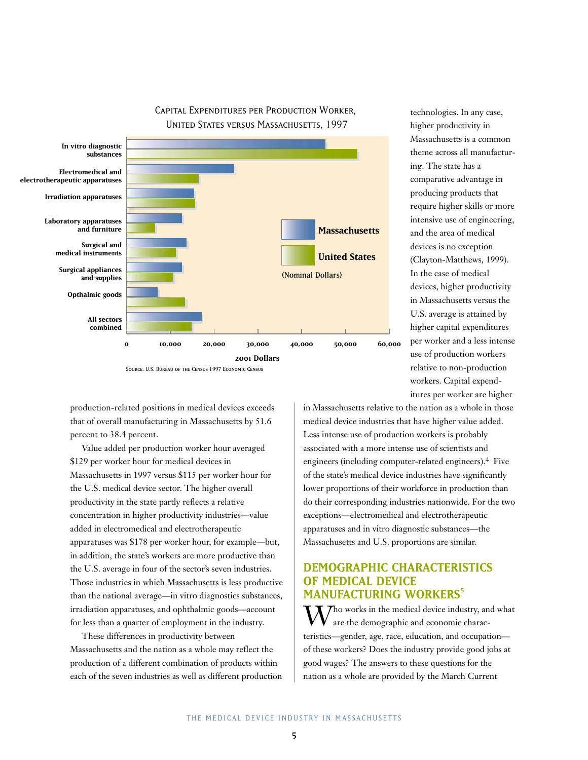

CAPITAL EXPENDITURES PER PRODUCTION WORKER, United States versus Massachusetts, 1997

technologies. In any case, higher productivity in Massachusetts is a common theme across all manufacturing. The state has a comparative advantage in producing products that require higher skills or more intensive use of engineering, and the area of medical devices is no exception (Clayton-Matthews, 1999). In the case of medical devices, higher productivity in Massachusetts versus the U.S. average is attained by higher capital expenditures per worker and a less intense use of production workers relative to non-production workers. Capital expenditures per worker are higher

production-related positions in medical devices exceeds that of overall manufacturing in Massachusetts by 51.6 percent to 38.4 percent.

Value added per production worker hour averaged \$129 per worker hour for medical devices in Massachusetts in 1997 versus \$115 per worker hour for the U.S. medical device sector. The higher overall productivity in the state partly reflects a relative concentration in higher productivity industries—value added in electromedical and electrotherapeutic apparatuses was \$178 per worker hour, for example—but, in addition, the state's workers are more productive than the U.S. average in four of the sector's seven industries. Those industries in which Massachusetts is less productive than the national average—in vitro diagnostics substances, irradiation apparatuses, and ophthalmic goods—account for less than a quarter of employment in the industry.

These differences in productivity between Massachusetts and the nation as a whole may reflect the production of a different combination of products within each of the seven industries as well as different production in Massachusetts relative to the nation as a whole in those medical device industries that have higher value added. Less intense use of production workers is probably associated with a more intense use of scientists and engineers (including computer-related engineers).4 Five of the state's medical device industries have significantly lower proportions of their workforce in production than do their corresponding industries nationwide. For the two exceptions—electromedical and electrotherapeutic apparatuses and in vitro diagnostic substances—the Massachusetts and U.S. proportions are similar.

## **DEMOGRAPHIC CHARACTERISTICS OF MEDICAL DEVICE MANUFACTURING WORKERS**

ho works in the medical device industry, and what are the demographic and economic characteristics—gender, age, race, education, and occupation of these workers? Does the industry provide good jobs at good wages? The answers to these questions for the nation as a whole are provided by the March Current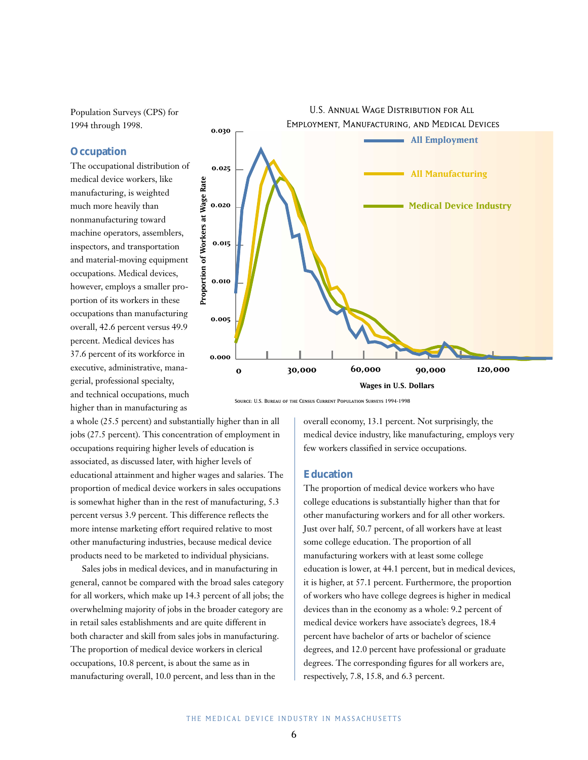Population Surveys (CPS) for 1994 through 1998.

#### **Occupation**

The occupational distribution of medical device workers, like manufacturing, is weighted much more heavily than nonmanufacturing toward machine operators, assemblers, inspectors, and transportation and material-moving equipment occupations. Medical devices, however, employs a smaller proportion of its workers in these occupations than manufacturing overall, 42.6 percent versus 49.9 percent. Medical devices has 37.6 percent of its workforce in executive, administrative, managerial, professional specialty, and technical occupations, much higher than in manufacturing as

a whole (25.5 percent) and substantially higher than in all jobs (27.5 percent). This concentration of employment in occupations requiring higher levels of education is associated, as discussed later, with higher levels of educational attainment and higher wages and salaries. The proportion of medical device workers in sales occupations is somewhat higher than in the rest of manufacturing, 5.3 percent versus 3.9 percent. This difference reflects the more intense marketing effort required relative to most other manufacturing industries, because medical device products need to be marketed to individual physicians.

Sales jobs in medical devices, and in manufacturing in general, cannot be compared with the broad sales category for all workers, which make up 14.3 percent of all jobs; the overwhelming majority of jobs in the broader category are in retail sales establishments and are quite different in both character and skill from sales jobs in manufacturing. The proportion of medical device workers in clerical occupations, 10.8 percent, is about the same as in manufacturing overall, 10.0 percent, and less than in the



Source: U.S. Bureau of the Census Current Population Surveys 1994-1998

overall economy, 13.1 percent. Not surprisingly, the medical device industry, like manufacturing, employs very few workers classified in service occupations.

### **Education**

The proportion of medical device workers who have college educations is substantially higher than that for other manufacturing workers and for all other workers. Just over half, 50.7 percent, of all workers have at least some college education. The proportion of all manufacturing workers with at least some college education is lower, at 44.1 percent, but in medical devices, it is higher, at 57.1 percent. Furthermore, the proportion of workers who have college degrees is higher in medical devices than in the economy as a whole: 9.2 percent of medical device workers have associate's degrees, 18.4 percent have bachelor of arts or bachelor of science degrees, and 12.0 percent have professional or graduate degrees. The corresponding figures for all workers are, respectively, 7.8, 15.8, and 6.3 percent.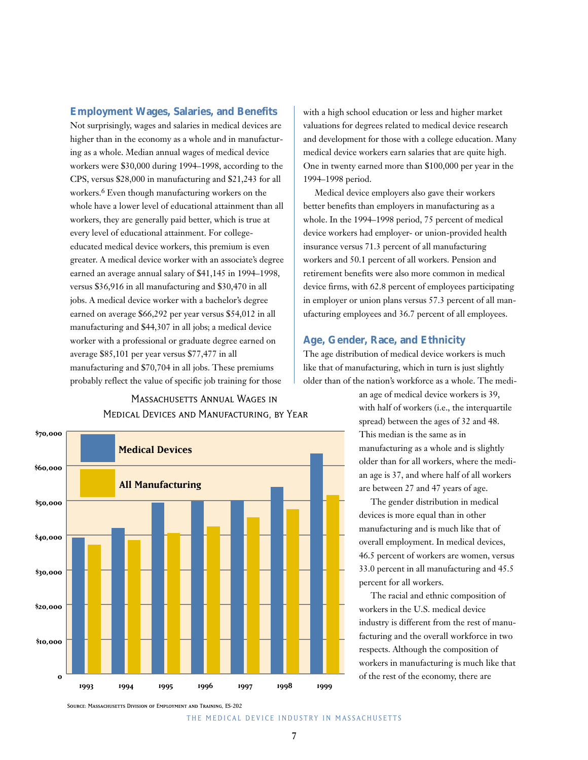#### **Employment Wages, Salaries, and Benefits**

Not surprisingly, wages and salaries in medical devices are higher than in the economy as a whole and in manufacturing as a whole. Median annual wages of medical device workers were \$30,000 during 1994–1998, according to the CPS, versus \$28,000 in manufacturing and \$21,243 for all workers.6 Even though manufacturing workers on the whole have a lower level of educational attainment than all workers, they are generally paid better, which is true at every level of educational attainment. For collegeeducated medical device workers, this premium is even greater. A medical device worker with an associate's degree earned an average annual salary of \$41,145 in 1994–1998, versus \$36,916 in all manufacturing and \$30,470 in all jobs. A medical device worker with a bachelor's degree earned on average \$66,292 per year versus \$54,012 in all manufacturing and \$44,307 in all jobs; a medical device worker with a professional or graduate degree earned on average \$85,101 per year versus \$77,477 in all manufacturing and \$70,704 in all jobs. These premiums probably reflect the value of specific job training for those

## Massachusetts Annual Wages in 0Medical Devices and Manufacturing, by Year



with a high school education or less and higher market valuations for degrees related to medical device research and development for those with a college education. Many medical device workers earn salaries that are quite high. One in twenty earned more than \$100,000 per year in the 1994–1998 period.

Medical device employers also gave their workers better benefits than employers in manufacturing as a whole. In the 1994–1998 period, 75 percent of medical device workers had employer- or union-provided health insurance versus 71.3 percent of all manufacturing workers and 50.1 percent of all workers. Pension and retirement benefits were also more common in medical device firms, with 62.8 percent of employees participating in employer or union plans versus 57.3 percent of all manufacturing employees and 36.7 percent of all employees.

#### **Age, Gender, Race, and Ethnicity**

The age distribution of medical device workers is much like that of manufacturing, which in turn is just slightly older than of the nation's workforce as a whole. The medi-

> an age of medical device workers is 39, with half of workers (i.e., the interquartile spread) between the ages of 32 and 48. This median is the same as in manufacturing as a whole and is slightly older than for all workers, where the median age is 37, and where half of all workers are between 27 and 47 years of age.

> The gender distribution in medical devices is more equal than in other manufacturing and is much like that of overall employment. In medical devices, 46.5 percent of workers are women, versus 33.0 percent in all manufacturing and 45.5 percent for all workers.

> The racial and ethnic composition of workers in the U.S. medical device industry is different from the rest of manufacturing and the overall workforce in two respects. Although the composition of workers in manufacturing is much like that

Source: Massachusetts Division of Employment and Training, ES-202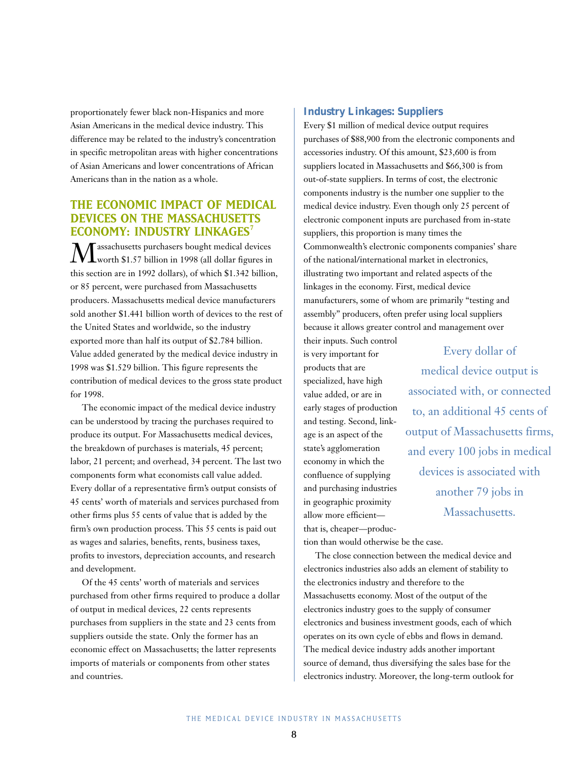proportionately fewer black non-Hispanics and more Asian Americans in the medical device industry. This difference may be related to the industry's concentration in specific metropolitan areas with higher concentrations of Asian Americans and lower concentrations of African Americans than in the nation as a whole.

## **THE ECONOMIC IMPACT OF MEDICAL DEVICES ON THE MASSACHUSETTS ECONOMY: INDUSTRY LINKAGES<sup>7</sup>**

 $\displaystyle{\mathop{\text{Max}}_{\text{worth}} }$  \$1.57 billion in 1998 (all dollar figures in this section are in 1992 dollars), of which \$1.342 billion, or 85 percent, were purchased from Massachusetts producers. Massachusetts medical device manufacturers sold another \$1.441 billion worth of devices to the rest of the United States and worldwide, so the industry exported more than half its output of \$2.784 billion. Value added generated by the medical device industry in 1998 was \$1.529 billion. This figure represents the contribution of medical devices to the gross state product for 1998.

The economic impact of the medical device industry can be understood by tracing the purchases required to produce its output. For Massachusetts medical devices, the breakdown of purchases is materials, 45 percent; labor, 21 percent; and overhead, 34 percent. The last two components form what economists call value added. Every dollar of a representative firm's output consists of 45 cents' worth of materials and services purchased from other firms plus 55 cents of value that is added by the firm's own production process. This 55 cents is paid out as wages and salaries, benefits, rents, business taxes, profits to investors, depreciation accounts, and research and development.

Of the 45 cents' worth of materials and services purchased from other firms required to produce a dollar of output in medical devices, 22 cents represents purchases from suppliers in the state and 23 cents from suppliers outside the state. Only the former has an economic effect on Massachusetts; the latter represents imports of materials or components from other states and countries.

#### **Industry Linkages: Suppliers**

Every \$1 million of medical device output requires purchases of \$88,900 from the electronic components and accessories industry. Of this amount, \$23,600 is from suppliers located in Massachusetts and \$66,300 is from out-of-state suppliers. In terms of cost, the electronic components industry is the number one supplier to the medical device industry. Even though only 25 percent of electronic component inputs are purchased from in-state suppliers, this proportion is many times the Commonwealth's electronic components companies' share of the national/international market in electronics, illustrating two important and related aspects of the linkages in the economy. First, medical device manufacturers, some of whom are primarily "testing and assembly" producers, often prefer using local suppliers because it allows greater control and management over

their inputs. Such control is very important for products that are specialized, have high value added, or are in early stages of production and testing. Second, linkage is an aspect of the state's agglomeration economy in which the confluence of supplying and purchasing industries in geographic proximity allow more efficient that is, cheaper—produc-

Every dollar of medical device output is associated with, or connected to, an additional 45 cents of output of Massachusetts firms, and every 100 jobs in medical devices is associated with another 79 jobs in Massachusetts.

tion than would otherwise be the case.

The close connection between the medical device and electronics industries also adds an element of stability to the electronics industry and therefore to the Massachusetts economy. Most of the output of the electronics industry goes to the supply of consumer electronics and business investment goods, each of which operates on its own cycle of ebbs and flows in demand. The medical device industry adds another important source of demand, thus diversifying the sales base for the electronics industry. Moreover, the long-term outlook for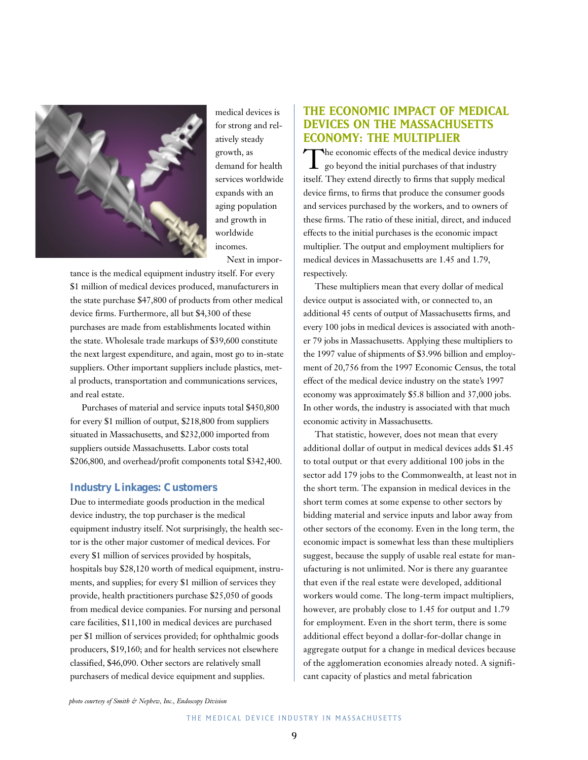

medical devices is for strong and relatively steady growth, as demand for health services worldwide expands with an aging population and growth in worldwide incomes. Next in impor-

tance is the medical equipment industry itself. For every \$1 million of medical devices produced, manufacturers in the state purchase \$47,800 of products from other medical device firms. Furthermore, all but \$4,300 of these purchases are made from establishments located within the state. Wholesale trade markups of \$39,600 constitute the next largest expenditure, and again, most go to in-state suppliers. Other important suppliers include plastics, metal products, transportation and communications services, and real estate.

Purchases of material and service inputs total \$450,800 for every \$1 million of output, \$218,800 from suppliers situated in Massachusetts, and \$232,000 imported from suppliers outside Massachusetts. Labor costs total \$206,800, and overhead/profit components total \$342,400.

#### **Industry Linkages: Customers**

Due to intermediate goods production in the medical device industry, the top purchaser is the medical equipment industry itself. Not surprisingly, the health sector is the other major customer of medical devices. For every \$1 million of services provided by hospitals, hospitals buy \$28,120 worth of medical equipment, instruments, and supplies; for every \$1 million of services they provide, health practitioners purchase \$25,050 of goods from medical device companies. For nursing and personal care facilities, \$11,100 in medical devices are purchased per \$1 million of services provided; for ophthalmic goods producers, \$19,160; and for health services not elsewhere classified, \$46,090. Other sectors are relatively small purchasers of medical device equipment and supplies.

## **THE ECONOMIC IMPACT OF MEDICAL DEVICES ON THE MASSACHUSETTS ECONOMY: THE MULTIPLIER**

The economic effects of the medical device industry go beyond the initial purchases of that industry itself. They extend directly to firms that supply medical device firms, to firms that produce the consumer goods and services purchased by the workers, and to owners of these firms. The ratio of these initial, direct, and induced effects to the initial purchases is the economic impact multiplier. The output and employment multipliers for medical devices in Massachusetts are 1.45 and 1.79, respectively.

These multipliers mean that every dollar of medical device output is associated with, or connected to, an additional 45 cents of output of Massachusetts firms, and every 100 jobs in medical devices is associated with another 79 jobs in Massachusetts. Applying these multipliers to the 1997 value of shipments of \$3.996 billion and employment of 20,756 from the 1997 Economic Census, the total effect of the medical device industry on the state's 1997 economy was approximately \$5.8 billion and 37,000 jobs. In other words, the industry is associated with that much economic activity in Massachusetts.

That statistic, however, does not mean that every additional dollar of output in medical devices adds \$1.45 to total output or that every additional 100 jobs in the sector add 179 jobs to the Commonwealth, at least not in the short term. The expansion in medical devices in the short term comes at some expense to other sectors by bidding material and service inputs and labor away from other sectors of the economy. Even in the long term, the economic impact is somewhat less than these multipliers suggest, because the supply of usable real estate for manufacturing is not unlimited. Nor is there any guarantee that even if the real estate were developed, additional workers would come. The long-term impact multipliers, however, are probably close to 1.45 for output and 1.79 for employment. Even in the short term, there is some additional effect beyond a dollar-for-dollar change in aggregate output for a change in medical devices because of the agglomeration economies already noted. A significant capacity of plastics and metal fabrication

*photo courtesy of Smith & Nephew, Inc., Endoscopy Division*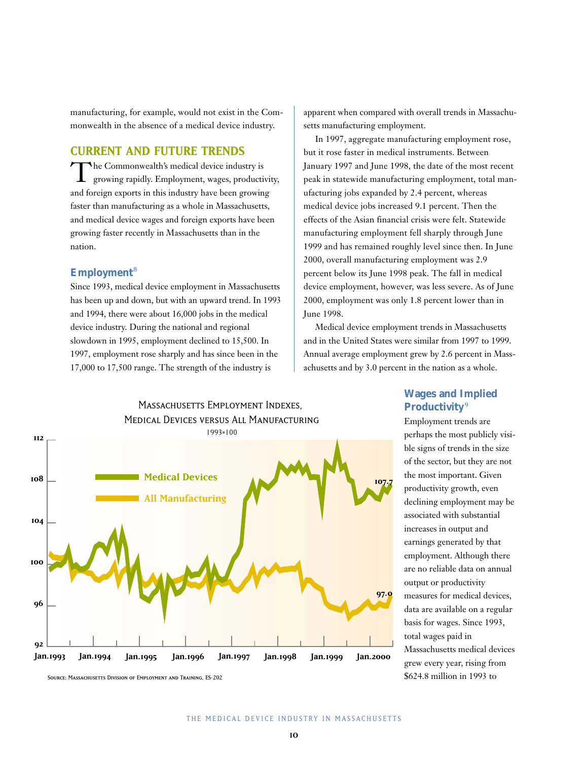manufacturing, for example, would not exist in the Commonwealth in the absence of a medical device industry.

## **CURRENT AND FUTURE TRENDS**

The Commonwealth's medical device industry is<br>growing rapidly. Employment, wages, productivity, and foreign exports in this industry have been growing faster than manufacturing as a whole in Massachusetts, and medical device wages and foreign exports have been growing faster recently in Massachusetts than in the nation.

## **Employment**<sup>8</sup>

Since 1993, medical device employment in Massachusetts has been up and down, but with an upward trend. In 1993 and 1994, there were about 16,000 jobs in the medical device industry. During the national and regional slowdown in 1995, employment declined to 15,500. In 1997, employment rose sharply and has since been in the 17,000 to 17,500 range. The strength of the industry is

apparent when compared with overall trends in Massachusetts manufacturing employment.

In 1997, aggregate manufacturing employment rose, but it rose faster in medical instruments. Between January 1997 and June 1998, the date of the most recent peak in statewide manufacturing employment, total manufacturing jobs expanded by 2.4 percent, whereas medical device jobs increased 9.1 percent. Then the effects of the Asian financial crisis were felt. Statewide manufacturing employment fell sharply through June 1999 and has remained roughly level since then. In June 2000, overall manufacturing employment was 2.9 percent below its June 1998 peak. The fall in medical device employment, however, was less severe. As of June 2000, employment was only 1.8 percent lower than in June 1998.

Medical device employment trends in Massachusetts and in the United States were similar from 1997 to 1999. Annual average employment grew by 2.6 percent in Massachusetts and by 3.0 percent in the nation as a whole.



## **Wages and Implied Productivity**<sup>9</sup>

Employment trends are perhaps the most publicly visible signs of trends in the size of the sector, but they are not the most important. Given productivity growth, even declining employment may be associated with substantial increases in output and earnings generated by that employment. Although there are no reliable data on annual output or productivity measures for medical devices, data are available on a regular basis for wages. Since 1993, total wages paid in Massachusetts medical devices grew every year, rising from \$624.8 million in 1993 to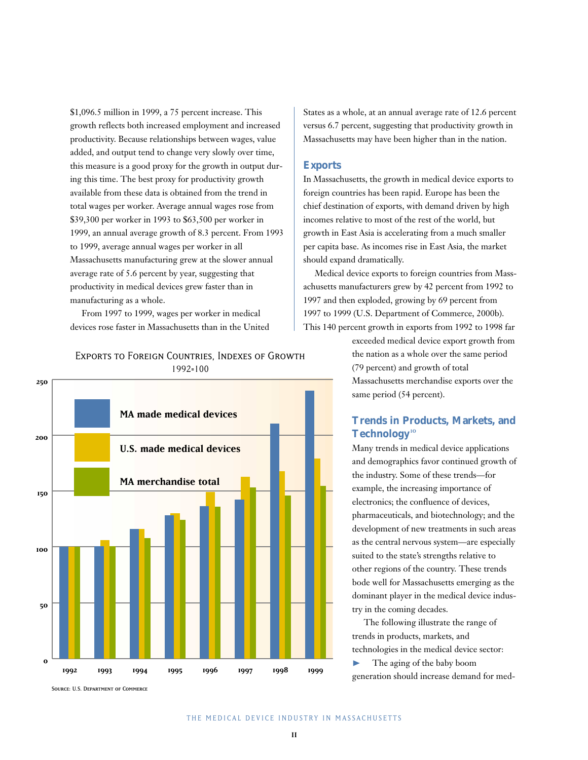\$1,096.5 million in 1999, a 75 percent increase. This growth reflects both increased employment and increased productivity. Because relationships between wages, value added, and output tend to change very slowly over time, this measure is a good proxy for the growth in output during this time. The best proxy for productivity growth available from these data is obtained from the trend in total wages per worker. Average annual wages rose from \$39,300 per worker in 1993 to \$63,500 per worker in 1999, an annual average growth of 8.3 percent. From 1993 to 1999, average annual wages per worker in all Massachusetts manufacturing grew at the slower annual average rate of 5.6 percent by year, suggesting that productivity in medical devices grew faster than in manufacturing as a whole.

From 1997 to 1999, wages per worker in medical devices rose faster in Massachusetts than in the United

## Exports to Foreign Countries, Indexes of Growth0 1992=100



States as a whole, at an annual average rate of 12.6 percent versus 6.7 percent, suggesting that productivity growth in Massachusetts may have been higher than in the nation.

#### **Exports**

In Massachusetts, the growth in medical device exports to foreign countries has been rapid. Europe has been the chief destination of exports, with demand driven by high incomes relative to most of the rest of the world, but growth in East Asia is accelerating from a much smaller per capita base. As incomes rise in East Asia, the market should expand dramatically.

Medical device exports to foreign countries from Massachusetts manufacturers grew by 42 percent from 1992 to 1997 and then exploded, growing by 69 percent from 1997 to 1999 (U.S. Department of Commerce, 2000b). This 140 percent growth in exports from 1992 to 1998 far

> exceeded medical device export growth from the nation as a whole over the same period (79 percent) and growth of total Massachusetts merchandise exports over the same period (54 percent).

## **Trends in Products, Markets, and Technology**<sup>10</sup>

Many trends in medical device applications and demographics favor continued growth of the industry. Some of these trends—for example, the increasing importance of electronics; the confluence of devices, pharmaceuticals, and biotechnology; and the development of new treatments in such areas as the central nervous system—are especially suited to the state's strengths relative to other regions of the country. These trends bode well for Massachusetts emerging as the dominant player in the medical device industry in the coming decades.

The following illustrate the range of trends in products, markets, and technologies in the medical device sector:  $\blacktriangleright$  The aging of the baby boom generation should increase demand for med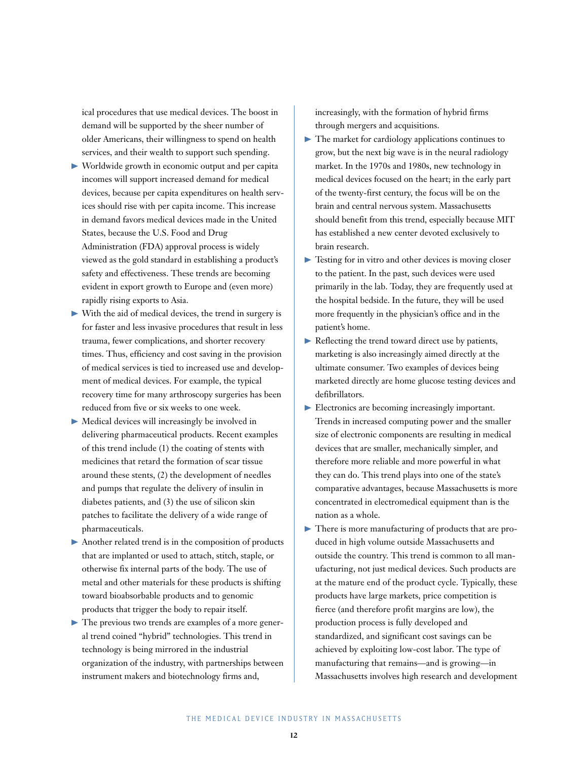ical procedures that use medical devices. The boost in demand will be supported by the sheer number of older Americans, their willingness to spend on health services, and their wealth to support such spending.

- ❿ Worldwide growth in economic output and per capita incomes will support increased demand for medical devices, because per capita expenditures on health services should rise with per capita income. This increase in demand favors medical devices made in the United States, because the U.S. Food and Drug Administration (FDA) approval process is widely viewed as the gold standard in establishing a product's safety and effectiveness. These trends are becoming evident in export growth to Europe and (even more) rapidly rising exports to Asia.
- $\triangleright$  With the aid of medical devices, the trend in surgery is for faster and less invasive procedures that result in less trauma, fewer complications, and shorter recovery times. Thus, efficiency and cost saving in the provision of medical services is tied to increased use and development of medical devices. For example, the typical recovery time for many arthroscopy surgeries has been reduced from five or six weeks to one week.
- $\blacktriangleright$  Medical devices will increasingly be involved in delivering pharmaceutical products. Recent examples of this trend include (1) the coating of stents with medicines that retard the formation of scar tissue around these stents, (2) the development of needles and pumps that regulate the delivery of insulin in diabetes patients, and (3) the use of silicon skin patches to facilitate the delivery of a wide range of pharmaceuticals.
- $\blacktriangleright$  Another related trend is in the composition of products that are implanted or used to attach, stitch, staple, or otherwise fix internal parts of the body. The use of metal and other materials for these products is shifting toward bioabsorbable products and to genomic products that trigger the body to repair itself.
- $\blacktriangleright$  The previous two trends are examples of a more general trend coined "hybrid" technologies. This trend in technology is being mirrored in the industrial organization of the industry, with partnerships between instrument makers and biotechnology firms and,

increasingly, with the formation of hybrid firms through mergers and acquisitions.

- $\blacktriangleright$  The market for cardiology applications continues to grow, but the next big wave is in the neural radiology market. In the 1970s and 1980s, new technology in medical devices focused on the heart; in the early part of the twenty-first century, the focus will be on the brain and central nervous system. Massachusetts should benefit from this trend, especially because MIT has established a new center devoted exclusively to brain research.
- $\triangleright$  Testing for in vitro and other devices is moving closer to the patient. In the past, such devices were used primarily in the lab. Today, they are frequently used at the hospital bedside. In the future, they will be used more frequently in the physician's office and in the patient's home.
- ❿ Reflecting the trend toward direct use by patients, marketing is also increasingly aimed directly at the ultimate consumer. Two examples of devices being marketed directly are home glucose testing devices and defibrillators.
- Electronics are becoming increasingly important. Trends in increased computing power and the smaller size of electronic components are resulting in medical devices that are smaller, mechanically simpler, and therefore more reliable and more powerful in what they can do. This trend plays into one of the state's comparative advantages, because Massachusetts is more concentrated in electromedical equipment than is the nation as a whole.
- ❿ There is more manufacturing of products that are produced in high volume outside Massachusetts and outside the country. This trend is common to all manufacturing, not just medical devices. Such products are at the mature end of the product cycle. Typically, these products have large markets, price competition is fierce (and therefore profit margins are low), the production process is fully developed and standardized, and significant cost savings can be achieved by exploiting low-cost labor. The type of manufacturing that remains—and is growing—in Massachusetts involves high research and development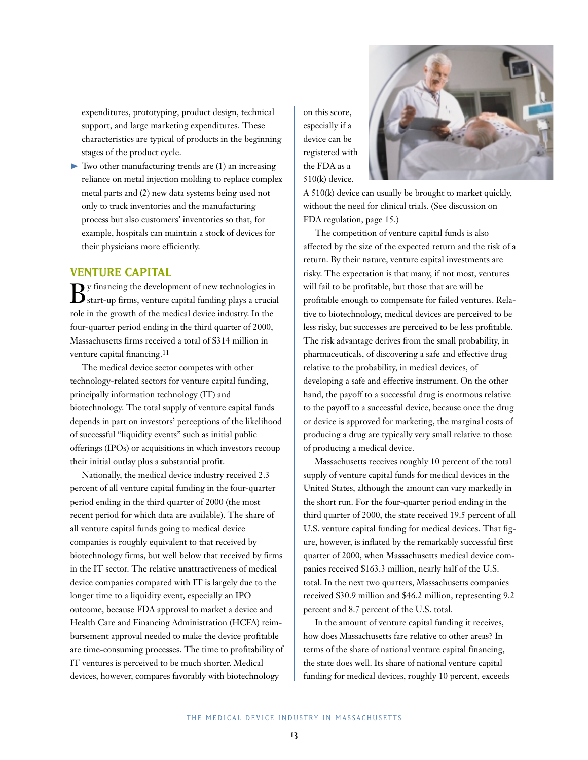expenditures, prototyping, product design, technical support, and large marketing expenditures. These characteristics are typical of products in the beginning stages of the product cycle.

 $\blacktriangleright$  Two other manufacturing trends are (1) an increasing reliance on metal injection molding to replace complex metal parts and (2) new data systems being used not only to track inventories and the manufacturing process but also customers' inventories so that, for example, hospitals can maintain a stock of devices for their physicians more efficiently.

## **VENTURE CAPITAL**

 $\mathbf{B}$ y financing the development of new technologies in start-up firms, venture capital funding plays a crucial role in the growth of the medical device industry. In the four-quarter period ending in the third quarter of 2000, Massachusetts firms received a total of \$314 million in venture capital financing.<sup>11</sup>

The medical device sector competes with other technology-related sectors for venture capital funding, principally information technology (IT) and biotechnology. The total supply of venture capital funds depends in part on investors' perceptions of the likelihood of successful "liquidity events" such as initial public offerings (IPOs) or acquisitions in which investors recoup their initial outlay plus a substantial profit.

Nationally, the medical device industry received 2.3 percent of all venture capital funding in the four-quarter period ending in the third quarter of 2000 (the most recent period for which data are available). The share of all venture capital funds going to medical device companies is roughly equivalent to that received by biotechnology firms, but well below that received by firms in the IT sector. The relative unattractiveness of medical device companies compared with IT is largely due to the longer time to a liquidity event, especially an IPO outcome, because FDA approval to market a device and Health Care and Financing Administration (HCFA) reimbursement approval needed to make the device profitable are time-consuming processes. The time to profitability of IT ventures is perceived to be much shorter. Medical devices, however, compares favorably with biotechnology

A 510(k) device can usually be brought to market quickly, without the need for clinical trials. (See discussion on FDA regulation, page 15.)

on this score, especially if a device can be registered with the FDA as a 510(k) device.

The competition of venture capital funds is also affected by the size of the expected return and the risk of a return. By their nature, venture capital investments are risky. The expectation is that many, if not most, ventures will fail to be profitable, but those that are will be profitable enough to compensate for failed ventures. Relative to biotechnology, medical devices are perceived to be less risky, but successes are perceived to be less profitable. The risk advantage derives from the small probability, in pharmaceuticals, of discovering a safe and effective drug relative to the probability, in medical devices, of developing a safe and effective instrument. On the other hand, the payoff to a successful drug is enormous relative to the payoff to a successful device, because once the drug or device is approved for marketing, the marginal costs of producing a drug are typically very small relative to those of producing a medical device.

Massachusetts receives roughly 10 percent of the total supply of venture capital funds for medical devices in the United States, although the amount can vary markedly in the short run. For the four-quarter period ending in the third quarter of 2000, the state received 19.5 percent of all U.S. venture capital funding for medical devices. That figure, however, is inflated by the remarkably successful first quarter of 2000, when Massachusetts medical device companies received \$163.3 million, nearly half of the U.S. total. In the next two quarters, Massachusetts companies received \$30.9 million and \$46.2 million, representing 9.2 percent and 8.7 percent of the U.S. total.

In the amount of venture capital funding it receives, how does Massachusetts fare relative to other areas? In terms of the share of national venture capital financing, the state does well. Its share of national venture capital funding for medical devices, roughly 10 percent, exceeds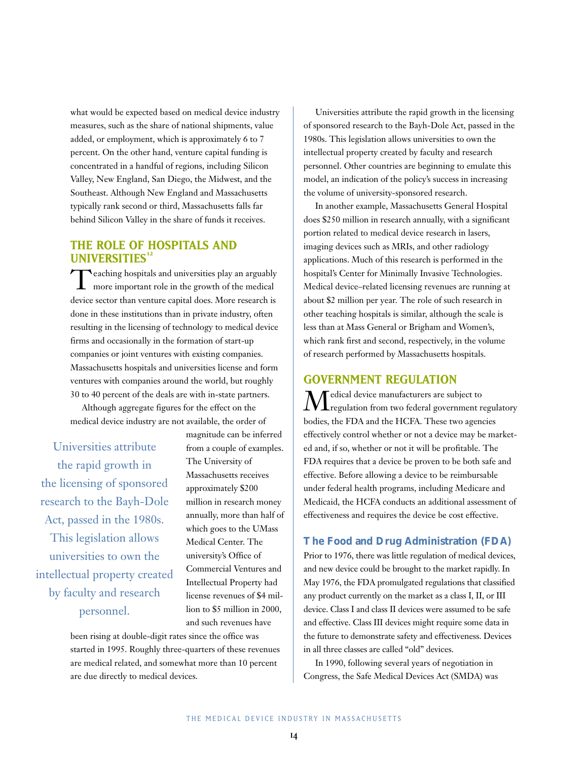what would be expected based on medical device industry measures, such as the share of national shipments, value added, or employment, which is approximately 6 to 7 percent. On the other hand, venture capital funding is concentrated in a handful of regions, including Silicon Valley, New England, San Diego, the Midwest, and the Southeast. Although New England and Massachusetts typically rank second or third, Massachusetts falls far behind Silicon Valley in the share of funds it receives.

## **THE ROLE OF HOSPITALS AND UNIVERSITIES<sup>12</sup>**

Teaching hospitals and universities play an arguably more important role in the growth of the medical device sector than venture capital does. More research is done in these institutions than in private industry, often resulting in the licensing of technology to medical device firms and occasionally in the formation of start-up companies or joint ventures with existing companies. Massachusetts hospitals and universities license and form ventures with companies around the world, but roughly 30 to 40 percent of the deals are with in-state partners.

Although aggregate figures for the effect on the medical device industry are not available, the order of

Universities attribute the rapid growth in the licensing of sponsored research to the Bayh-Dole Act, passed in the 1980s. This legislation allows universities to own the intellectual property created by faculty and research personnel.

magnitude can be inferred from a couple of examples. The University of Massachusetts receives approximately \$200 million in research money annually, more than half of which goes to the UMass Medical Center. The university's Office of Commercial Ventures and Intellectual Property had license revenues of \$4 million to \$5 million in 2000, and such revenues have

been rising at double-digit rates since the office was started in 1995. Roughly three-quarters of these revenues are medical related, and somewhat more than 10 percent are due directly to medical devices.

Universities attribute the rapid growth in the licensing of sponsored research to the Bayh-Dole Act, passed in the 1980s. This legislation allows universities to own the intellectual property created by faculty and research personnel. Other countries are beginning to emulate this model, an indication of the policy's success in increasing the volume of university-sponsored research.

In another example, Massachusetts General Hospital does \$250 million in research annually, with a significant portion related to medical device research in lasers, imaging devices such as MRIs, and other radiology applications. Much of this research is performed in the hospital's Center for Minimally Invasive Technologies. Medical device–related licensing revenues are running at about \$2 million per year. The role of such research in other teaching hospitals is similar, although the scale is less than at Mass General or Brigham and Women's, which rank first and second, respectively, in the volume of research performed by Massachusetts hospitals.

### **GOVERNMENT REGULATION**

 $\displaystyle{\mathop{M}}$ edical device manufacturers are subject to $\displaystyle{\mathop{M}}$ regulation from two federal government regulatory bodies, the FDA and the HCFA. These two agencies effectively control whether or not a device may be marketed and, if so, whether or not it will be profitable. The FDA requires that a device be proven to be both safe and effective. Before allowing a device to be reimbursable under federal health programs, including Medicare and Medicaid, the HCFA conducts an additional assessment of effectiveness and requires the device be cost effective.

#### **The Food and Drug Administration (FDA)**

Prior to 1976, there was little regulation of medical devices, and new device could be brought to the market rapidly. In May 1976, the FDA promulgated regulations that classified any product currently on the market as a class I, II, or III device. Class I and class II devices were assumed to be safe and effective. Class III devices might require some data in the future to demonstrate safety and effectiveness. Devices in all three classes are called "old" devices.

In 1990, following several years of negotiation in Congress, the Safe Medical Devices Act (SMDA) was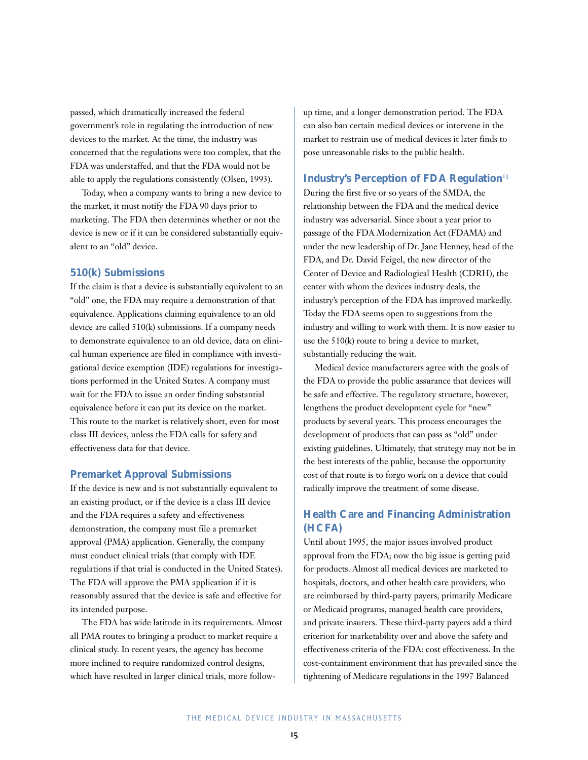passed, which dramatically increased the federal government's role in regulating the introduction of new devices to the market. At the time, the industry was concerned that the regulations were too complex, that the FDA was understaffed, and that the FDA would not be able to apply the regulations consistently (Olsen, 1993).

Today, when a company wants to bring a new device to the market, it must notify the FDA 90 days prior to marketing. The FDA then determines whether or not the device is new or if it can be considered substantially equivalent to an "old" device.

#### **510(k) Submissions**

If the claim is that a device is substantially equivalent to an "old" one, the FDA may require a demonstration of that equivalence. Applications claiming equivalence to an old device are called 510(k) submissions. If a company needs to demonstrate equivalence to an old device, data on clinical human experience are filed in compliance with investigational device exemption (IDE) regulations for investigations performed in the United States. A company must wait for the FDA to issue an order finding substantial equivalence before it can put its device on the market. This route to the market is relatively short, even for most class III devices, unless the FDA calls for safety and effectiveness data for that device.

#### **Premarket Approval Submissions**

If the device is new and is not substantially equivalent to an existing product, or if the device is a class III device and the FDA requires a safety and effectiveness demonstration, the company must file a premarket approval (PMA) application. Generally, the company must conduct clinical trials (that comply with IDE regulations if that trial is conducted in the United States). The FDA will approve the PMA application if it is reasonably assured that the device is safe and effective for its intended purpose.

The FDA has wide latitude in its requirements. Almost all PMA routes to bringing a product to market require a clinical study. In recent years, the agency has become more inclined to require randomized control designs, which have resulted in larger clinical trials, more followup time, and a longer demonstration period. The FDA can also ban certain medical devices or intervene in the market to restrain use of medical devices it later finds to pose unreasonable risks to the public health.

#### **Industry's Perception of FDA Regulation**<sup>13</sup>

During the first five or so years of the SMDA, the relationship between the FDA and the medical device industry was adversarial. Since about a year prior to passage of the FDA Modernization Act (FDAMA) and under the new leadership of Dr. Jane Henney, head of the FDA, and Dr. David Feigel, the new director of the Center of Device and Radiological Health (CDRH), the center with whom the devices industry deals, the industry's perception of the FDA has improved markedly. Today the FDA seems open to suggestions from the industry and willing to work with them. It is now easier to use the 510(k) route to bring a device to market, substantially reducing the wait.

Medical device manufacturers agree with the goals of the FDA to provide the public assurance that devices will be safe and effective. The regulatory structure, however, lengthens the product development cycle for "new" products by several years. This process encourages the development of products that can pass as "old" under existing guidelines. Ultimately, that strategy may not be in the best interests of the public, because the opportunity cost of that route is to forgo work on a device that could radically improve the treatment of some disease.

## **Health Care and Financing Administration (HCFA)**

Until about 1995, the major issues involved product approval from the FDA; now the big issue is getting paid for products. Almost all medical devices are marketed to hospitals, doctors, and other health care providers, who are reimbursed by third-party payers, primarily Medicare or Medicaid programs, managed health care providers, and private insurers. These third-party payers add a third criterion for marketability over and above the safety and effectiveness criteria of the FDA: cost effectiveness. In the cost-containment environment that has prevailed since the tightening of Medicare regulations in the 1997 Balanced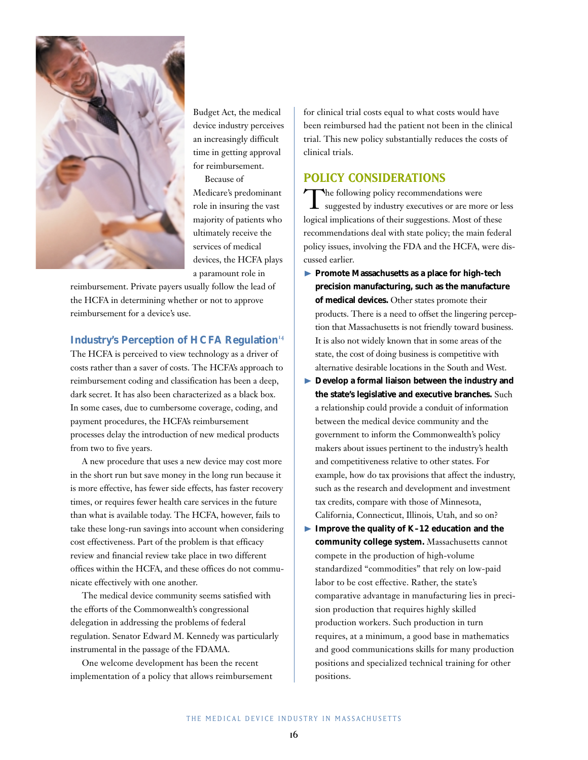

Budget Act, the medical device industry perceives an increasingly difficult time in getting approval for reimbursement.

Because of Medicare's predominant role in insuring the vast majority of patients who ultimately receive the services of medical devices, the HCFA plays a paramount role in

reimbursement. Private payers usually follow the lead of the HCFA in determining whether or not to approve reimbursement for a device's use.

#### **Industry's Perception of HCFA Regulation**<sup>14</sup>

The HCFA is perceived to view technology as a driver of costs rather than a saver of costs. The HCFA's approach to reimbursement coding and classification has been a deep, dark secret. It has also been characterized as a black box. In some cases, due to cumbersome coverage, coding, and payment procedures, the HCFA's reimbursement processes delay the introduction of new medical products from two to five years.

A new procedure that uses a new device may cost more in the short run but save money in the long run because it is more effective, has fewer side effects, has faster recovery times, or requires fewer health care services in the future than what is available today. The HCFA, however, fails to take these long-run savings into account when considering cost effectiveness. Part of the problem is that efficacy review and financial review take place in two different offices within the HCFA, and these offices do not communicate effectively with one another.

The medical device community seems satisfied with the efforts of the Commonwealth's congressional delegation in addressing the problems of federal regulation. Senator Edward M. Kennedy was particularly instrumental in the passage of the FDAMA.

One welcome development has been the recent implementation of a policy that allows reimbursement for clinical trial costs equal to what costs would have been reimbursed had the patient not been in the clinical trial. This new policy substantially reduces the costs of clinical trials.

## **POLICY CONSIDERATIONS**

The following policy recommendations were<br>suggested by industry executives or are more or less logical implications of their suggestions. Most of these recommendations deal with state policy; the main federal policy issues, involving the FDA and the HCFA, were discussed earlier.

- ❿ **Promote Massachusetts as a place for high-tech precision manufacturing, such as the manufacture of medical devices.** Other states promote their products. There is a need to offset the lingering perception that Massachusetts is not friendly toward business. It is also not widely known that in some areas of the state, the cost of doing business is competitive with alternative desirable locations in the South and West.
- ❿ **Develop a formal liaison between the industry and the state's legislative and executive branches.** Such a relationship could provide a conduit of information between the medical device community and the government to inform the Commonwealth's policy makers about issues pertinent to the industry's health and competitiveness relative to other states. For example, how do tax provisions that affect the industry, such as the research and development and investment tax credits, compare with those of Minnesota, California, Connecticut, Illinois, Utah, and so on?
- ❿ **Improve the quality of K–12 education and the community college system.** Massachusetts cannot compete in the production of high-volume standardized "commodities" that rely on low-paid labor to be cost effective. Rather, the state's comparative advantage in manufacturing lies in precision production that requires highly skilled production workers. Such production in turn requires, at a minimum, a good base in mathematics and good communications skills for many production positions and specialized technical training for other positions.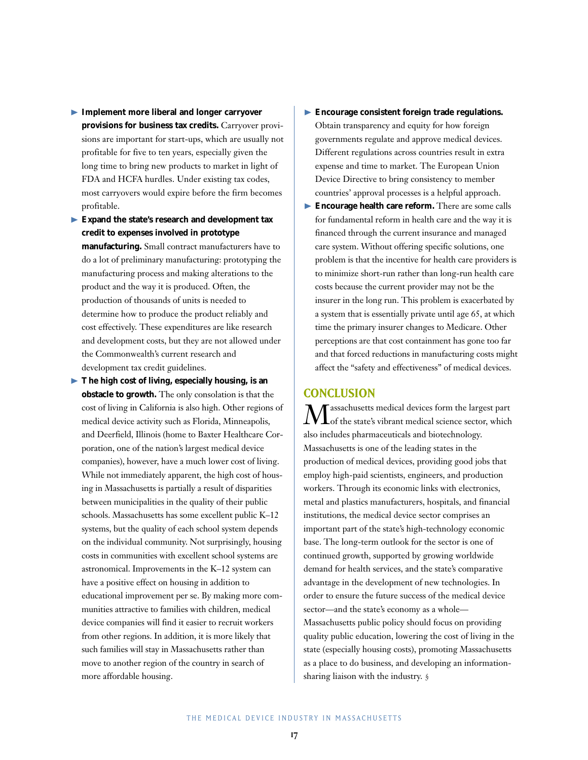- ❿ **Implement more liberal and longer carryover provisions for business tax credits.** Carryover provisions are important for start-ups, which are usually not profitable for five to ten years, especially given the long time to bring new products to market in light of FDA and HCFA hurdles. Under existing tax codes, most carryovers would expire before the firm becomes profitable.
- ❿ **Expand the state's research and development tax credit to expenses involved in prototype manufacturing.** Small contract manufacturers have to do a lot of preliminary manufacturing: prototyping the manufacturing process and making alterations to the product and the way it is produced. Often, the production of thousands of units is needed to determine how to produce the product reliably and cost effectively. These expenditures are like research and development costs, but they are not allowed under the Commonwealth's current research and development tax credit guidelines.
- ❿ **The high cost of living, especially housing, is an obstacle to growth.** The only consolation is that the cost of living in California is also high. Other regions of medical device activity such as Florida, Minneapolis, and Deerfield, Illinois (home to Baxter Healthcare Corporation, one of the nation's largest medical device companies), however, have a much lower cost of living. While not immediately apparent, the high cost of housing in Massachusetts is partially a result of disparities between municipalities in the quality of their public schools. Massachusetts has some excellent public K–12 systems, but the quality of each school system depends on the individual community. Not surprisingly, housing costs in communities with excellent school systems are astronomical. Improvements in the K–12 system can have a positive effect on housing in addition to educational improvement per se. By making more communities attractive to families with children, medical device companies will find it easier to recruit workers from other regions. In addition, it is more likely that such families will stay in Massachusetts rather than move to another region of the country in search of more affordable housing.
- ❿ **Encourage consistent foreign trade regulations.** Obtain transparency and equity for how foreign governments regulate and approve medical devices. Different regulations across countries result in extra expense and time to market. The European Union Device Directive to bring consistency to member countries' approval processes is a helpful approach.
- ❿ **Encourage health care reform.** There are some calls for fundamental reform in health care and the way it is financed through the current insurance and managed care system. Without offering specific solutions, one problem is that the incentive for health care providers is to minimize short-run rather than long-run health care costs because the current provider may not be the insurer in the long run. This problem is exacerbated by a system that is essentially private until age 65, at which time the primary insurer changes to Medicare. Other perceptions are that cost containment has gone too far and that forced reductions in manufacturing costs might affect the "safety and effectiveness" of medical devices.

#### **CONCLUSION**

assachusetts medical devices form the largest part of the state's vibrant medical science sector, which also includes pharmaceuticals and biotechnology. Massachusetts is one of the leading states in the production of medical devices, providing good jobs that employ high-paid scientists, engineers, and production workers. Through its economic links with electronics, metal and plastics manufacturers, hospitals, and financial institutions, the medical device sector comprises an important part of the state's high-technology economic base. The long-term outlook for the sector is one of continued growth, supported by growing worldwide demand for health services, and the state's comparative advantage in the development of new technologies. In order to ensure the future success of the medical device sector—and the state's economy as a whole— Massachusetts public policy should focus on providing quality public education, lowering the cost of living in the state (especially housing costs), promoting Massachusetts as a place to do business, and developing an informationsharing liaison with the industry. §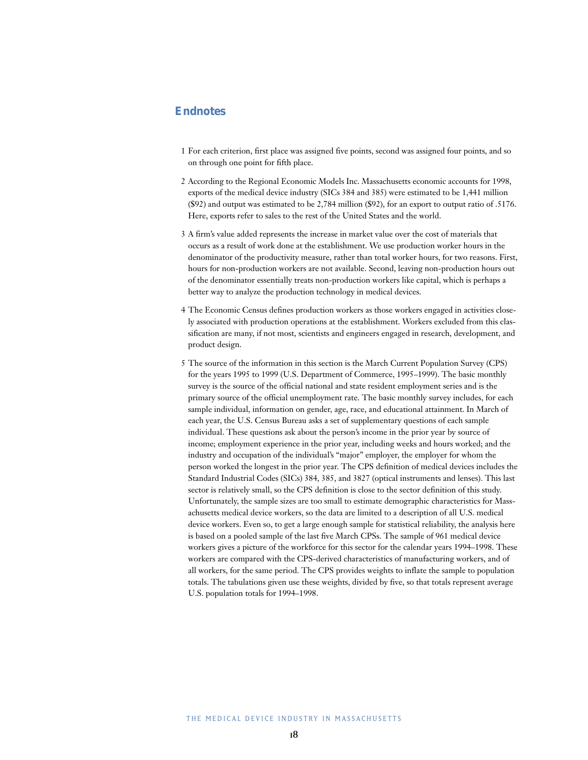### **Endnotes**

- 1 For each criterion, first place was assigned five points, second was assigned four points, and so on through one point for fifth place.
- 2 According to the Regional Economic Models Inc. Massachusetts economic accounts for 1998, exports of the medical device industry (SICs 384 and 385) were estimated to be 1,441 million (\$92) and output was estimated to be 2,784 million (\$92), for an export to output ratio of .5176. Here, exports refer to sales to the rest of the United States and the world.
- 3 A firm's value added represents the increase in market value over the cost of materials that occurs as a result of work done at the establishment. We use production worker hours in the denominator of the productivity measure, rather than total worker hours, for two reasons. First, hours for non-production workers are not available. Second, leaving non-production hours out of the denominator essentially treats non-production workers like capital, which is perhaps a better way to analyze the production technology in medical devices.
- 4 The Economic Census defines production workers as those workers engaged in activities closely associated with production operations at the establishment. Workers excluded from this classification are many, if not most, scientists and engineers engaged in research, development, and product design.
- 5 The source of the information in this section is the March Current Population Survey (CPS) for the years 1995 to 1999 (U.S. Department of Commerce, 1995–1999). The basic monthly survey is the source of the official national and state resident employment series and is the primary source of the official unemployment rate. The basic monthly survey includes, for each sample individual, information on gender, age, race, and educational attainment. In March of each year, the U.S. Census Bureau asks a set of supplementary questions of each sample individual. These questions ask about the person's income in the prior year by source of income; employment experience in the prior year, including weeks and hours worked; and the industry and occupation of the individual's "major" employer, the employer for whom the person worked the longest in the prior year. The CPS definition of medical devices includes the Standard Industrial Codes (SICs) 384, 385, and 3827 (optical instruments and lenses). This last sector is relatively small, so the CPS definition is close to the sector definition of this study. Unfortunately, the sample sizes are too small to estimate demographic characteristics for Massachusetts medical device workers, so the data are limited to a description of all U.S. medical device workers. Even so, to get a large enough sample for statistical reliability, the analysis here is based on a pooled sample of the last five March CPSs. The sample of 961 medical device workers gives a picture of the workforce for this sector for the calendar years 1994–1998. These workers are compared with the CPS-derived characteristics of manufacturing workers, and of all workers, for the same period. The CPS provides weights to inflate the sample to population totals. The tabulations given use these weights, divided by five, so that totals represent average U.S. population totals for 1994–1998.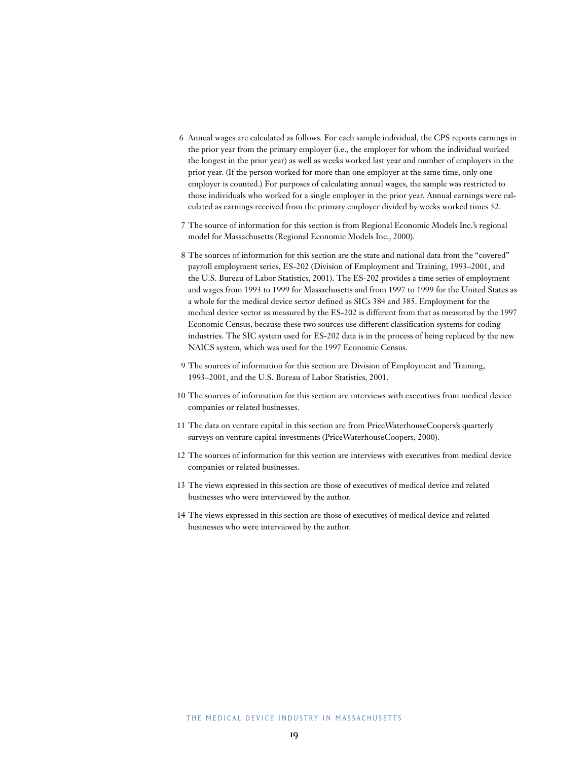- 6 Annual wages are calculated as follows. For each sample individual, the CPS reports earnings in the prior year from the primary employer (i.e., the employer for whom the individual worked the longest in the prior year) as well as weeks worked last year and number of employers in the prior year. (If the person worked for more than one employer at the same time, only one employer is counted.) For purposes of calculating annual wages, the sample was restricted to those individuals who worked for a single employer in the prior year. Annual earnings were calculated as earnings received from the primary employer divided by weeks worked times 52.
- 7 The source of information for this section is from Regional Economic Models Inc.'s regional model for Massachusetts (Regional Economic Models Inc., 2000).
- 8 The sources of information for this section are the state and national data from the "covered" payroll employment series, ES-202 (Division of Employment and Training, 1993–2001, and the U.S. Bureau of Labor Statistics, 2001). The ES-202 provides a time series of employment and wages from 1993 to 1999 for Massachusetts and from 1997 to 1999 for the United States as a whole for the medical device sector defined as SICs 384 and 385. Employment for the medical device sector as measured by the ES-202 is different from that as measured by the 1997 Economic Census, because these two sources use different classification systems for coding industries. The SIC system used for ES-202 data is in the process of being replaced by the new NAICS system, which was used for the 1997 Economic Census.
- 9 The sources of information for this section are Division of Employment and Training, 1993–2001, and the U.S. Bureau of Labor Statistics, 2001.
- 10 The sources of information for this section are interviews with executives from medical device companies or related businesses.
- 11 The data on venture capital in this section are from PriceWaterhouseCoopers's quarterly surveys on venture capital investments (PriceWaterhouseCoopers, 2000).
- 12 The sources of information for this section are interviews with executives from medical device companies or related businesses.
- 13 The views expressed in this section are those of executives of medical device and related businesses who were interviewed by the author.
- 14 The views expressed in this section are those of executives of medical device and related businesses who were interviewed by the author.